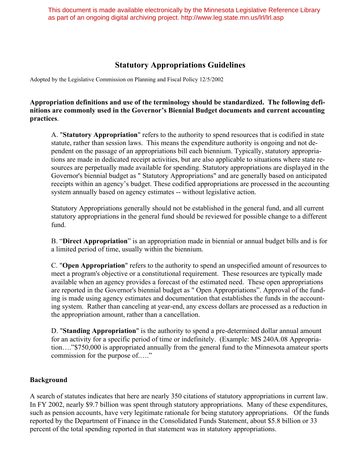This document is made available electronically by the Minnesota Legislative Reference Library as part of an ongoing digital archiving project. http://www.leg.state.mn.us/lrl/lrl.asp

# **Statutory Appropriations Guidelines**

Adopted by the Legislative Commission on Planning and Fiscal Policy 12/5/2002

### **Appropriation definitions and use of the terminology should be standardized. The following definitions are commonly used in the Governor's Biennial Budget documents and current accounting practices**.

A. "**Statutory Appropriation**" refers to the authority to spend resources that is codified in state statute, rather than session laws. This means the expenditure authority is ongoing and not dependent on the passage of an appropriations bill each biennium. Typically, statutory appropriations are made in dedicated receipt activities, but are also applicable to situations where state resources are perpetually made available for spending. Statutory appropriations are displayed in the Governor's biennial budget as " Statutory Appropriations" and are generally based on anticipated receipts within an agency's budget. These codified appropriations are processed in the accounting system annually based on agency estimates -- without legislative action.

Statutory Appropriations generally should not be established in the general fund, and all current statutory appropriations in the general fund should be reviewed for possible change to a different fund.

B. "**Direct Appropriation**" is an appropriation made in biennial or annual budget bills and is for a limited period of time, usually within the biennium.

C. "**Open Appropriation**" refers to the authority to spend an unspecified amount of resources to meet a program's objective or a constitutional requirement. These resources are typically made available when an agency provides a forecast of the estimated need. These open appropriations are reported in the Governor's biennial budget as " Open Appropriations". Approval of the funding is made using agency estimates and documentation that establishes the funds in the accounting system. Rather than canceling at year-end, any excess dollars are processed as a reduction in the appropriation amount, rather than a cancellation.

D. "**Standing Appropriation**" is the authority to spend a pre-determined dollar annual amount for an activity for a specific period of time or indefinitely. (Example: MS 240A.08 Appropriation…."\$750,000 is appropriated annually from the general fund to the Minnesota amateur sports commission for the purpose of.…."

### **Background**

A search of statutes indicates that here are nearly 350 citations of statutory appropriations in current law. In FY 2002, nearly \$9.7 billion was spent through statutory appropriations. Many of these expenditures, such as pension accounts, have very legitimate rationale for being statutory appropriations. Of the funds reported by the Department of Finance in the Consolidated Funds Statement, about \$5.8 billion or 33 percent of the total spending reported in that statement was in statutory appropriations.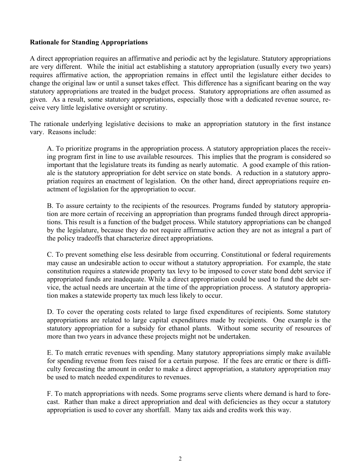### **Rationale for Standing Appropriations**

A direct appropriation requires an affirmative and periodic act by the legislature. Statutory appropriations are very different. While the initial act establishing a statutory appropriation (usually every two years) requires affirmative action, the appropriation remains in effect until the legislature either decides to change the original law or until a sunset takes effect. This difference has a significant bearing on the way statutory appropriations are treated in the budget process. Statutory appropriations are often assumed as given. As a result, some statutory appropriations, especially those with a dedicated revenue source, receive very little legislative oversight or scrutiny.

The rationale underlying legislative decisions to make an appropriation statutory in the first instance vary. Reasons include:

A. To prioritize programs in the appropriation process. A statutory appropriation places the receiving program first in line to use available resources. This implies that the program is considered so important that the legislature treats its funding as nearly automatic. A good example of this rationale is the statutory appropriation for debt service on state bonds. A reduction in a statutory appropriation requires an enactment of legislation. On the other hand, direct appropriations require enactment of legislation for the appropriation to occur.

B. To assure certainty to the recipients of the resources. Programs funded by statutory appropriation are more certain of receiving an appropriation than programs funded through direct appropriations. This result is a function of the budget process. While statutory appropriations can be changed by the legislature, because they do not require affirmative action they are not as integral a part of the policy tradeoffs that characterize direct appropriations.

C. To prevent something else less desirable from occurring. Constitutional or federal requirements may cause an undesirable action to occur without a statutory appropriation. For example, the state constitution requires a statewide property tax levy to be imposed to cover state bond debt service if appropriated funds are inadequate. While a direct appropriation could be used to fund the debt service, the actual needs are uncertain at the time of the appropriation process. A statutory appropriation makes a statewide property tax much less likely to occur.

D. To cover the operating costs related to large fixed expenditures of recipients. Some statutory appropriations are related to large capital expenditures made by recipients. One example is the statutory appropriation for a subsidy for ethanol plants. Without some security of resources of more than two years in advance these projects might not be undertaken.

E. To match erratic revenues with spending. Many statutory appropriations simply make available for spending revenue from fees raised for a certain purpose. If the fees are erratic or there is difficulty forecasting the amount in order to make a direct appropriation, a statutory appropriation may be used to match needed expenditures to revenues.

F. To match appropriations with needs. Some programs serve clients where demand is hard to forecast. Rather than make a direct appropriation and deal with deficiencies as they occur a statutory appropriation is used to cover any shortfall. Many tax aids and credits work this way.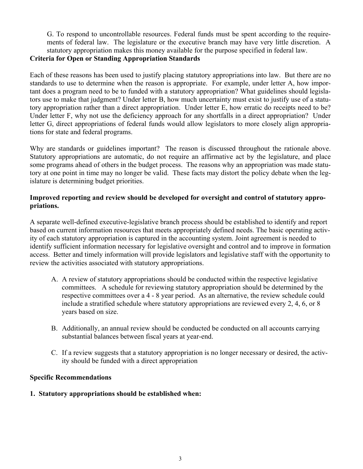G. To respond to uncontrollable resources. Federal funds must be spent according to the requirements of federal law. The legislature or the executive branch may have very little discretion. A statutory appropriation makes this money available for the purpose specified in federal law.

## **Criteria for Open or Standing Appropriation Standards**

Each of these reasons has been used to justify placing statutory appropriations into law. But there are no standards to use to determine when the reason is appropriate. For example, under letter A, how important does a program need to be to funded with a statutory appropriation? What guidelines should legislators use to make that judgment? Under letter B, how much uncertainty must exist to justify use of a statutory appropriation rather than a direct appropriation. Under letter E, how erratic do receipts need to be? Under letter F, why not use the deficiency approach for any shortfalls in a direct appropriation? Under letter G, direct appropriations of federal funds would allow legislators to more closely align appropriations for state and federal programs.

Why are standards or guidelines important? The reason is discussed throughout the rationale above. Statutory appropriations are automatic, do not require an affirmative act by the legislature, and place some programs ahead of others in the budget process. The reasons why an appropriation was made statutory at one point in time may no longer be valid. These facts may distort the policy debate when the legislature is determining budget priorities.

### **Improved reporting and review should be developed for oversight and control of statutory appropriations.**

A separate well-defined executive-legislative branch process should be established to identify and report based on current information resources that meets appropriately defined needs. The basic operating activity of each statutory appropriation is captured in the accounting system. Joint agreement is needed to identify sufficient information necessary for legislative oversight and control and to improve in formation access. Better and timely information will provide legislators and legislative staff with the opportunity to review the activities associated with statutory appropriations.

- A. A review of statutory appropriations should be conducted within the respective legislative committees. A schedule for reviewing statutory appropriation should be determined by the respective committees over a 4 - 8 year period. As an alternative, the review schedule could include a stratified schedule where statutory appropriations are reviewed every 2, 4, 6, or 8 years based on size.
- B. Additionally, an annual review should be conducted be conducted on all accounts carrying substantial balances between fiscal years at year-end.
- C. If a review suggests that a statutory appropriation is no longer necessary or desired, the activity should be funded with a direct appropriation

### **Specific Recommendations**

### **1. Statutory appropriations should be established when:**